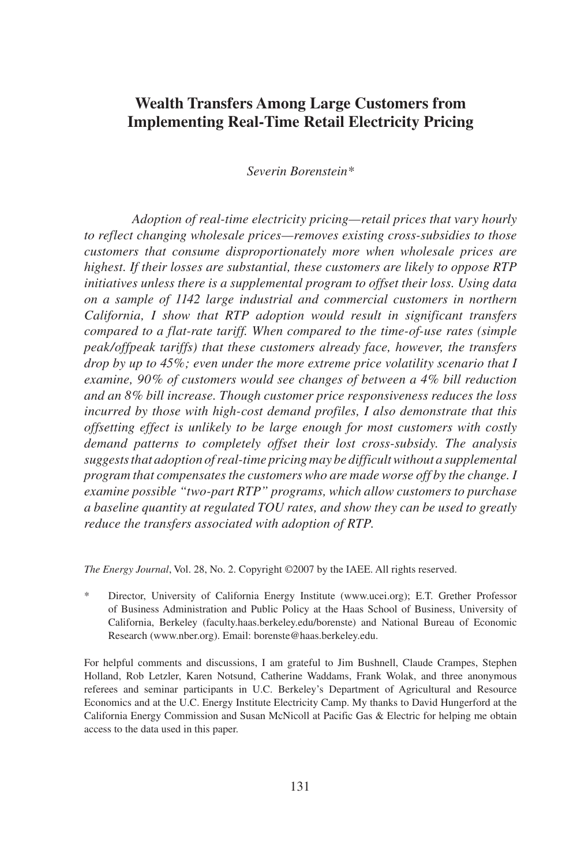# **Wealth Transfers Among Large Customers from Implementing Real-Time Retail Electricity Pricing**

*Severin Borenstein\**

*Adoption of real-time electricity pricing—retail prices that vary hourly to reflect changing wholesale prices—removes existing cross-subsidies to those customers that consume disproportionately more when wholesale prices are highest. If their losses are substantial, these customers are likely to oppose RTP initiatives unless there is a supplemental program to offset their loss. Using data on a sample of 1142 large industrial and commercial customers in northern California, I show that RTP adoption would result in significant transfers compared to a flat-rate tariff. When compared to the time-of-use rates (simple peak/offpeak tariffs) that these customers already face, however, the transfers drop by up to 45%; even under the more extreme price volatility scenario that I examine, 90% of customers would see changes of between a 4% bill reduction and an 8% bill increase. Though customer price responsiveness reduces the loss incurred by those with high-cost demand profiles, I also demonstrate that this offsetting effect is unlikely to be large enough for most customers with costly demand patterns to completely offset their lost cross-subsidy. The analysis suggests that adoption of real-time pricing may be difficult without a supplemental program that compensates the customers who are made worse off by the change. I examine possible "two-part RTP" programs, which allow customers to purchase a baseline quantity at regulated TOU rates, and show they can be used to greatly reduce the transfers associated with adoption of RTP.*

*The Energy Journal*, Vol. 28, No. 2. Copyright ©2007 by the IAEE. All rights reserved.

\* Director, University of California Energy Institute (www.ucei.org); E.T. Grether Professor of Business Administration and Public Policy at the Haas School of Business, University of California, Berkeley (faculty.haas.berkeley.edu/borenste) and National Bureau of Economic Research (www.nber.org). Email: borenste@haas.berkeley.edu.

For helpful comments and discussions, I am grateful to Jim Bushnell, Claude Crampes, Stephen Holland, Rob Letzler, Karen Notsund, Catherine Waddams, Frank Wolak, and three anonymous referees and seminar participants in U.C. Berkeley's Department of Agricultural and Resource Economics and at the U.C. Energy Institute Electricity Camp. My thanks to David Hungerford at the California Energy Commission and Susan McNicoll at Pacific Gas & Electric for helping me obtain access to the data used in this paper.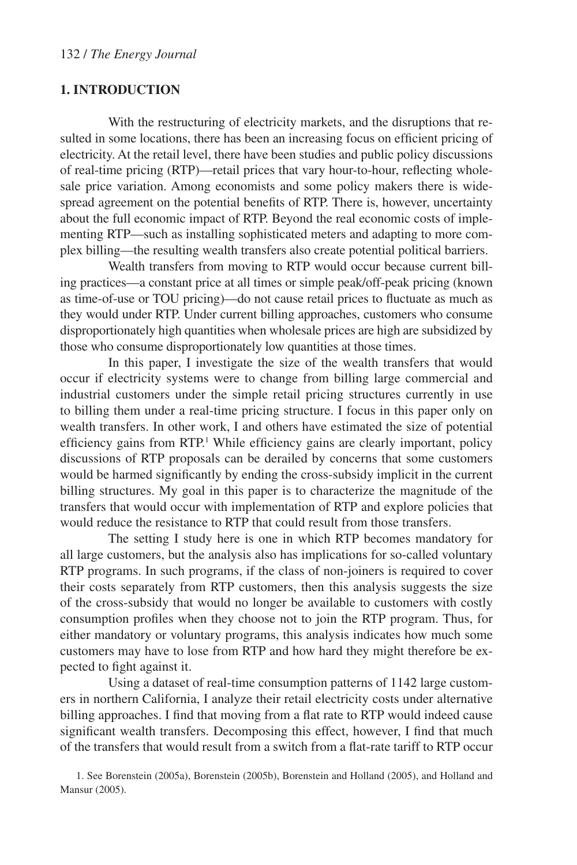#### **1. Introduction**

With the restructuring of electricity markets, and the disruptions that resulted in some locations, there has been an increasing focus on efficient pricing of electricity. At the retail level, there have been studies and public policy discussions of real-time pricing (RTP)—retail prices that vary hour-to-hour, reflecting wholesale price variation. Among economists and some policy makers there is widespread agreement on the potential benefits of RTP. There is, however, uncertainty about the full economic impact of RTP. Beyond the real economic costs of implementing RTP—such as installing sophisticated meters and adapting to more complex billing—the resulting wealth transfers also create potential political barriers.

Wealth transfers from moving to RTP would occur because current billing practices—a constant price at all times or simple peak/off-peak pricing (known as time-of-use or TOU pricing)—do not cause retail prices to fluctuate as much as they would under RTP. Under current billing approaches, customers who consume disproportionately high quantities when wholesale prices are high are subsidized by those who consume disproportionately low quantities at those times.

In this paper, I investigate the size of the wealth transfers that would occur if electricity systems were to change from billing large commercial and industrial customers under the simple retail pricing structures currently in use to billing them under a real-time pricing structure. I focus in this paper only on wealth transfers. In other work, I and others have estimated the size of potential efficiency gains from RTP.<sup>1</sup> While efficiency gains are clearly important, policy discussions of RTP proposals can be derailed by concerns that some customers would be harmed significantly by ending the cross-subsidy implicit in the current billing structures. My goal in this paper is to characterize the magnitude of the transfers that would occur with implementation of RTP and explore policies that would reduce the resistance to RTP that could result from those transfers.

The setting I study here is one in which RTP becomes mandatory for all large customers, but the analysis also has implications for so-called voluntary RTP programs. In such programs, if the class of non-joiners is required to cover their costs separately from RTP customers, then this analysis suggests the size of the cross-subsidy that would no longer be available to customers with costly consumption profiles when they choose not to join the RTP program. Thus, for either mandatory or voluntary programs, this analysis indicates how much some customers may have to lose from RTP and how hard they might therefore be expected to fight against it.

Using a dataset of real-time consumption patterns of 1142 large customers in northern California, I analyze their retail electricity costs under alternative billing approaches. I find that moving from a flat rate to RTP would indeed cause significant wealth transfers. Decomposing this effect, however, I find that much of the transfers that would result from a switch from a flat-rate tariff to RTP occur

<sup>1.</sup> See Borenstein (2005a), Borenstein (2005b), Borenstein and Holland (2005), and Holland and Mansur (2005).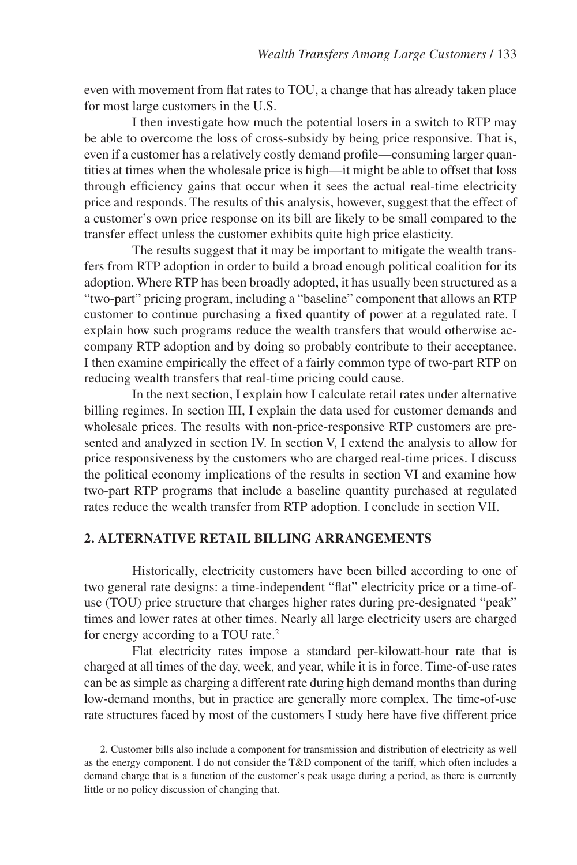even with movement from flat rates to TOU, a change that has already taken place for most large customers in the U.S.

I then investigate how much the potential losers in a switch to RTP may be able to overcome the loss of cross-subsidy by being price responsive. That is, even if a customer has a relatively costly demand profile—consuming larger quantities at times when the wholesale price is high—it might be able to offset that loss through efficiency gains that occur when it sees the actual real-time electricity price and responds. The results of this analysis, however, suggest that the effect of a customer's own price response on its bill are likely to be small compared to the transfer effect unless the customer exhibits quite high price elasticity.

The results suggest that it may be important to mitigate the wealth transfers from RTP adoption in order to build a broad enough political coalition for its adoption. Where RTP has been broadly adopted, it has usually been structured as a "two-part" pricing program, including a "baseline" component that allows an RTP customer to continue purchasing a fixed quantity of power at a regulated rate. I explain how such programs reduce the wealth transfers that would otherwise accompany RTP adoption and by doing so probably contribute to their acceptance. I then examine empirically the effect of a fairly common type of two-part RTP on reducing wealth transfers that real-time pricing could cause.

In the next section, I explain how I calculate retail rates under alternative billing regimes. In section III, I explain the data used for customer demands and wholesale prices. The results with non-price-responsive RTP customers are presented and analyzed in section IV. In section V, I extend the analysis to allow for price responsiveness by the customers who are charged real-time prices. I discuss the political economy implications of the results in section VI and examine how two-part RTP programs that include a baseline quantity purchased at regulated rates reduce the wealth transfer from RTP adoption. I conclude in section VII.

### **2. Alternative Retail Billing Arrangements**

Historically, electricity customers have been billed according to one of two general rate designs: a time-independent "flat" electricity price or a time-ofuse (TOU) price structure that charges higher rates during pre-designated "peak" times and lower rates at other times. Nearly all large electricity users are charged for energy according to a TOU rate.2

Flat electricity rates impose a standard per-kilowatt-hour rate that is charged at all times of the day, week, and year, while it is in force. Time-of-use rates can be as simple as charging a different rate during high demand months than during low-demand months, but in practice are generally more complex. The time-of-use rate structures faced by most of the customers I study here have five different price

<sup>2.</sup> Customer bills also include a component for transmission and distribution of electricity as well as the energy component. I do not consider the T&D component of the tariff, which often includes a demand charge that is a function of the customer's peak usage during a period, as there is currently little or no policy discussion of changing that.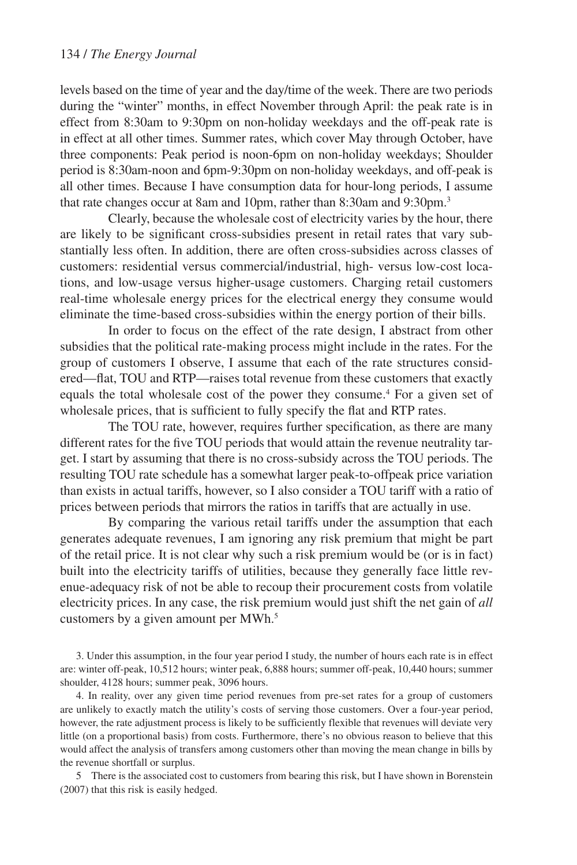levels based on the time of year and the day/time of the week. There are two periods during the "winter" months, in effect November through April: the peak rate is in effect from 8:30am to 9:30pm on non-holiday weekdays and the off-peak rate is in effect at all other times. Summer rates, which cover May through October, have three components: Peak period is noon-6pm on non-holiday weekdays; Shoulder period is 8:30am-noon and 6pm-9:30pm on non-holiday weekdays, and off-peak is all other times. Because I have consumption data for hour-long periods, I assume that rate changes occur at 8am and 10pm, rather than 8:30am and 9:30pm.<sup>3</sup>

Clearly, because the wholesale cost of electricity varies by the hour, there are likely to be significant cross-subsidies present in retail rates that vary substantially less often. In addition, there are often cross-subsidies across classes of customers: residential versus commercial/industrial, high- versus low-cost locations, and low-usage versus higher-usage customers. Charging retail customers real-time wholesale energy prices for the electrical energy they consume would eliminate the time-based cross-subsidies within the energy portion of their bills.

In order to focus on the effect of the rate design, I abstract from other subsidies that the political rate-making process might include in the rates. For the group of customers I observe, I assume that each of the rate structures considered—flat, TOU and RTP—raises total revenue from these customers that exactly equals the total wholesale cost of the power they consume.<sup>4</sup> For a given set of wholesale prices, that is sufficient to fully specify the flat and RTP rates.

The TOU rate, however, requires further specification, as there are many different rates for the five TOU periods that would attain the revenue neutrality target. I start by assuming that there is no cross-subsidy across the TOU periods. The resulting TOU rate schedule has a somewhat larger peak-to-offpeak price variation than exists in actual tariffs, however, so I also consider a TOU tariff with a ratio of prices between periods that mirrors the ratios in tariffs that are actually in use.

By comparing the various retail tariffs under the assumption that each generates adequate revenues, I am ignoring any risk premium that might be part of the retail price. It is not clear why such a risk premium would be (or is in fact) built into the electricity tariffs of utilities, because they generally face little revenue-adequacy risk of not be able to recoup their procurement costs from volatile electricity prices. In any case, the risk premium would just shift the net gain of *all* customers by a given amount per MWh.<sup>5</sup>

3. Under this assumption, in the four year period I study, the number of hours each rate is in effect are: winter off-peak, 10,512 hours; winter peak, 6,888 hours; summer off-peak, 10,440 hours; summer shoulder, 4128 hours; summer peak, 3096 hours.

4. In reality, over any given time period revenues from pre-set rates for a group of customers are unlikely to exactly match the utility's costs of serving those customers. Over a four-year period, however, the rate adjustment process is likely to be sufficiently flexible that revenues will deviate very little (on a proportional basis) from costs. Furthermore, there's no obvious reason to believe that this would affect the analysis of transfers among customers other than moving the mean change in bills by the revenue shortfall or surplus.

5 There is the associated cost to customers from bearing this risk, but I have shown in Borenstein (2007) that this risk is easily hedged.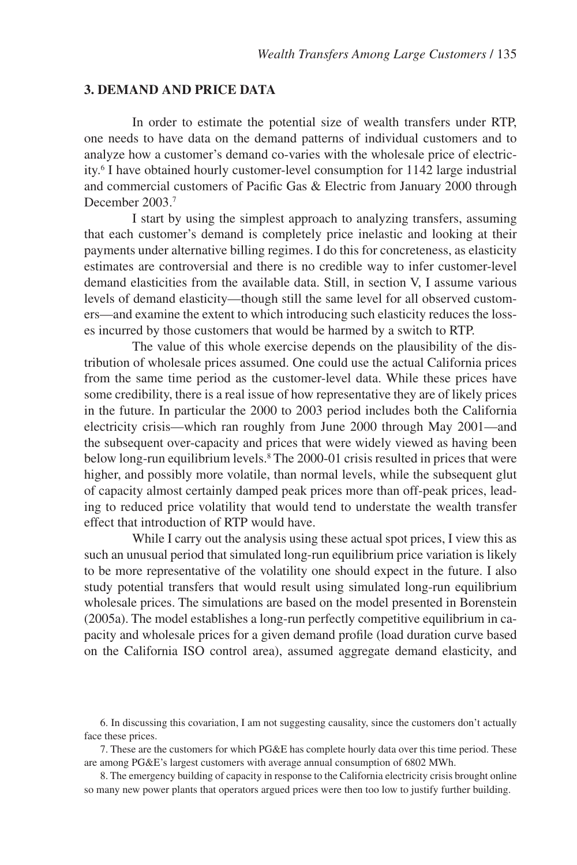#### **3. Demand and Price Data**

In order to estimate the potential size of wealth transfers under RTP, one needs to have data on the demand patterns of individual customers and to analyze how a customer's demand co-varies with the wholesale price of electricity.6 I have obtained hourly customer-level consumption for 1142 large industrial and commercial customers of Pacific Gas & Electric from January 2000 through December 2003<sup>7</sup>

I start by using the simplest approach to analyzing transfers, assuming that each customer's demand is completely price inelastic and looking at their payments under alternative billing regimes. I do this for concreteness, as elasticity estimates are controversial and there is no credible way to infer customer-level demand elasticities from the available data. Still, in section V, I assume various levels of demand elasticity—though still the same level for all observed customers—and examine the extent to which introducing such elasticity reduces the losses incurred by those customers that would be harmed by a switch to RTP.

The value of this whole exercise depends on the plausibility of the distribution of wholesale prices assumed. One could use the actual California prices from the same time period as the customer-level data. While these prices have some credibility, there is a real issue of how representative they are of likely prices in the future. In particular the 2000 to 2003 period includes both the California electricity crisis—which ran roughly from June 2000 through May 2001—and the subsequent over-capacity and prices that were widely viewed as having been below long-run equilibrium levels.<sup>8</sup> The 2000-01 crisis resulted in prices that were higher, and possibly more volatile, than normal levels, while the subsequent glut of capacity almost certainly damped peak prices more than off-peak prices, leading to reduced price volatility that would tend to understate the wealth transfer effect that introduction of RTP would have.

While I carry out the analysis using these actual spot prices, I view this as such an unusual period that simulated long-run equilibrium price variation is likely to be more representative of the volatility one should expect in the future. I also study potential transfers that would result using simulated long-run equilibrium wholesale prices. The simulations are based on the model presented in Borenstein (2005a). The model establishes a long-run perfectly competitive equilibrium in capacity and wholesale prices for a given demand profile (load duration curve based on the California ISO control area), assumed aggregate demand elasticity, and

6. In discussing this covariation, I am not suggesting causality, since the customers don't actually face these prices.

7. These are the customers for which PG&E has complete hourly data over this time period. These are among PG&E's largest customers with average annual consumption of 6802 MWh.

8. The emergency building of capacity in response to the California electricity crisis brought online so many new power plants that operators argued prices were then too low to justify further building.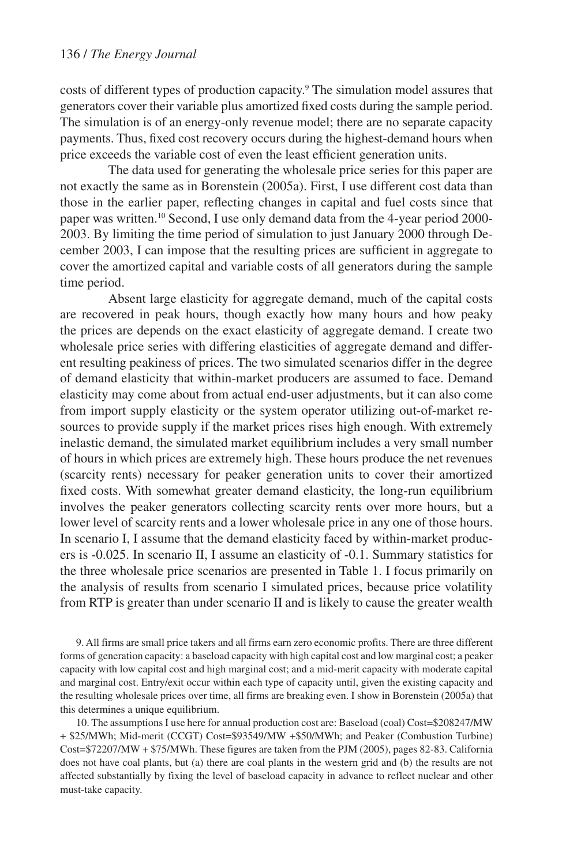costs of different types of production capacity.<sup>9</sup> The simulation model assures that generators cover their variable plus amortized fixed costs during the sample period. The simulation is of an energy-only revenue model; there are no separate capacity payments. Thus, fixed cost recovery occurs during the highest-demand hours when price exceeds the variable cost of even the least efficient generation units.

The data used for generating the wholesale price series for this paper are not exactly the same as in Borenstein (2005a). First, I use different cost data than those in the earlier paper, reflecting changes in capital and fuel costs since that paper was written.10 Second, I use only demand data from the 4-year period 2000- 2003. By limiting the time period of simulation to just January 2000 through December 2003, I can impose that the resulting prices are sufficient in aggregate to cover the amortized capital and variable costs of all generators during the sample time period.

Absent large elasticity for aggregate demand, much of the capital costs are recovered in peak hours, though exactly how many hours and how peaky the prices are depends on the exact elasticity of aggregate demand. I create two wholesale price series with differing elasticities of aggregate demand and different resulting peakiness of prices. The two simulated scenarios differ in the degree of demand elasticity that within-market producers are assumed to face. Demand elasticity may come about from actual end-user adjustments, but it can also come from import supply elasticity or the system operator utilizing out-of-market resources to provide supply if the market prices rises high enough. With extremely inelastic demand, the simulated market equilibrium includes a very small number of hours in which prices are extremely high. These hours produce the net revenues (scarcity rents) necessary for peaker generation units to cover their amortized fixed costs. With somewhat greater demand elasticity, the long-run equilibrium involves the peaker generators collecting scarcity rents over more hours, but a lower level of scarcity rents and a lower wholesale price in any one of those hours. In scenario I, I assume that the demand elasticity faced by within-market producers is -0.025. In scenario II, I assume an elasticity of -0.1. Summary statistics for the three wholesale price scenarios are presented in Table 1. I focus primarily on the analysis of results from scenario I simulated prices, because price volatility from RTP is greater than under scenario II and is likely to cause the greater wealth

9. All firms are small price takers and all firms earn zero economic profits. There are three different forms of generation capacity: a baseload capacity with high capital cost and low marginal cost; a peaker capacity with low capital cost and high marginal cost; and a mid-merit capacity with moderate capital and marginal cost. Entry/exit occur within each type of capacity until, given the existing capacity and the resulting wholesale prices over time, all firms are breaking even. I show in Borenstein (2005a) that this determines a unique equilibrium.

10. The assumptions I use here for annual production cost are: Baseload (coal) Cost=\$208247/MW + \$25/MWh; Mid-merit (CCGT) Cost=\$93549/MW +\$50/MWh; and Peaker (Combustion Turbine) Cost=\$72207/MW + \$75/MWh. These figures are taken from the PJM (2005), pages 82-83. California does not have coal plants, but (a) there are coal plants in the western grid and (b) the results are not affected substantially by fixing the level of baseload capacity in advance to reflect nuclear and other must-take capacity.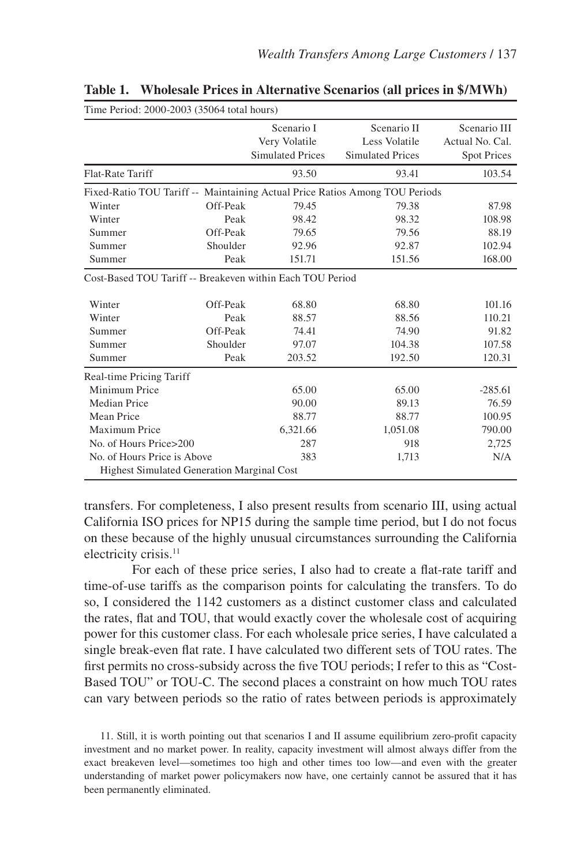| THE FEHOG. 2000-2003 (33004 total flours)                                   |          |                                                        |                                                         |                                                       |  |  |  |  |
|-----------------------------------------------------------------------------|----------|--------------------------------------------------------|---------------------------------------------------------|-------------------------------------------------------|--|--|--|--|
|                                                                             |          | Scenario I<br>Very Volatile<br><b>Simulated Prices</b> | Scenario II<br>Less Volatile<br><b>Simulated Prices</b> | Scenario III<br>Actual No. Cal.<br><b>Spot Prices</b> |  |  |  |  |
| Flat-Rate Tariff                                                            |          | 93.50                                                  | 93.41                                                   | 103.54                                                |  |  |  |  |
| Fixed-Ratio TOU Tariff -- Maintaining Actual Price Ratios Among TOU Periods |          |                                                        |                                                         |                                                       |  |  |  |  |
| Winter                                                                      | Off-Peak | 79.45                                                  | 79.38                                                   | 87.98                                                 |  |  |  |  |
| Winter                                                                      | Peak     | 98.42                                                  | 98.32                                                   | 108.98                                                |  |  |  |  |
| Summer                                                                      | Off-Peak | 79.65                                                  | 79.56                                                   | 88.19                                                 |  |  |  |  |
| Summer                                                                      | Shoulder | 92.96                                                  | 92.87                                                   | 102.94                                                |  |  |  |  |
| Summer                                                                      | Peak     | 151.71                                                 | 151.56                                                  | 168.00                                                |  |  |  |  |
| Cost-Based TOU Tariff -- Breakeven within Each TOU Period                   |          |                                                        |                                                         |                                                       |  |  |  |  |
| Winter                                                                      | Off-Peak | 68.80                                                  | 68.80                                                   | 101.16                                                |  |  |  |  |
| Winter                                                                      | Peak     | 88.57                                                  | 88.56                                                   | 110.21                                                |  |  |  |  |
| Summer                                                                      | Off-Peak | 74.41                                                  | 74.90                                                   | 91.82                                                 |  |  |  |  |
| Summer                                                                      | Shoulder | 97.07                                                  | 104.38                                                  | 107.58                                                |  |  |  |  |
| Summer                                                                      | Peak     | 203.52                                                 | 192.50                                                  | 120.31                                                |  |  |  |  |
| Real-time Pricing Tariff                                                    |          |                                                        |                                                         |                                                       |  |  |  |  |
| Minimum Price                                                               |          | 65.00                                                  | 65.00                                                   | $-285.61$                                             |  |  |  |  |
| Median Price                                                                |          | 90.00                                                  | 89.13                                                   | 76.59                                                 |  |  |  |  |
| Mean Price                                                                  |          | 88.77                                                  | 88.77                                                   | 100.95                                                |  |  |  |  |
| Maximum Price                                                               |          | 6,321.66                                               | 1,051.08                                                | 790.00                                                |  |  |  |  |
| No. of Hours Price>200                                                      |          | 287                                                    | 918                                                     | 2,725                                                 |  |  |  |  |
| No. of Hours Price is Above                                                 |          | 383                                                    | 1,713                                                   | N/A                                                   |  |  |  |  |
| <b>Highest Simulated Generation Marginal Cost</b>                           |          |                                                        |                                                         |                                                       |  |  |  |  |

**Table 1. Wholesale Prices in Alternative Scenarios (all prices in \$/MWh)**

Time Period: 2000-2003 (35064 total hours)

transfers. For completeness, I also present results from scenario III, using actual California ISO prices for NP15 during the sample time period, but I do not focus on these because of the highly unusual circumstances surrounding the California electricity crisis.<sup>11</sup>

For each of these price series, I also had to create a flat-rate tariff and time-of-use tariffs as the comparison points for calculating the transfers. To do so, I considered the 1142 customers as a distinct customer class and calculated the rates, flat and TOU, that would exactly cover the wholesale cost of acquiring power for this customer class. For each wholesale price series, I have calculated a single break-even flat rate. I have calculated two different sets of TOU rates. The first permits no cross-subsidy across the five TOU periods; I refer to this as "Cost-Based TOU" or TOU-C. The second places a constraint on how much TOU rates can vary between periods so the ratio of rates between periods is approximately

11. Still, it is worth pointing out that scenarios I and II assume equilibrium zero-profit capacity investment and no market power. In reality, capacity investment will almost always differ from the exact breakeven level—sometimes too high and other times too low—and even with the greater understanding of market power policymakers now have, one certainly cannot be assured that it has been permanently eliminated.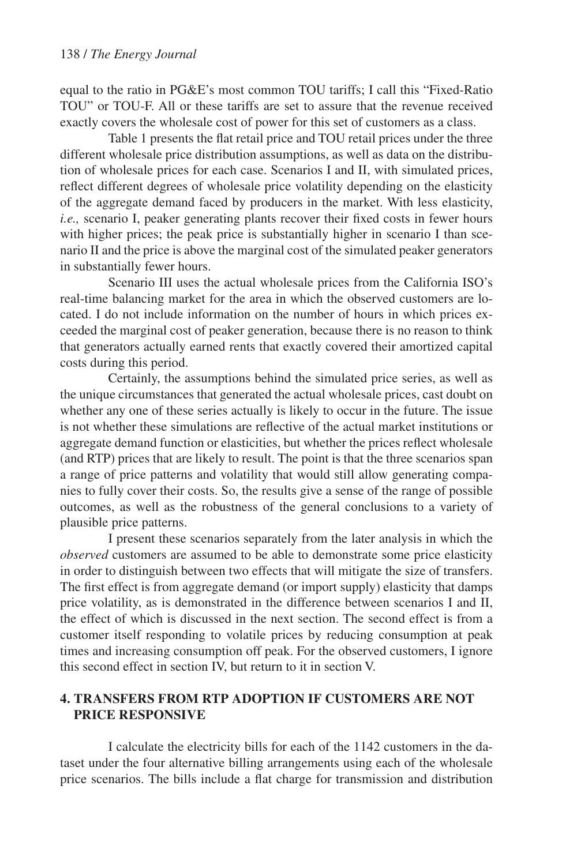equal to the ratio in PG&E's most common TOU tariffs; I call this "Fixed-Ratio TOU" or TOU-F. All or these tariffs are set to assure that the revenue received exactly covers the wholesale cost of power for this set of customers as a class.

Table 1 presents the flat retail price and TOU retail prices under the three different wholesale price distribution assumptions, as well as data on the distribution of wholesale prices for each case. Scenarios I and II, with simulated prices, reflect different degrees of wholesale price volatility depending on the elasticity of the aggregate demand faced by producers in the market. With less elasticity, *i.e.,* scenario I, peaker generating plants recover their fixed costs in fewer hours with higher prices; the peak price is substantially higher in scenario I than scenario II and the price is above the marginal cost of the simulated peaker generators in substantially fewer hours.

Scenario III uses the actual wholesale prices from the California ISO's real-time balancing market for the area in which the observed customers are located. I do not include information on the number of hours in which prices exceeded the marginal cost of peaker generation, because there is no reason to think that generators actually earned rents that exactly covered their amortized capital costs during this period.

Certainly, the assumptions behind the simulated price series, as well as the unique circumstances that generated the actual wholesale prices, cast doubt on whether any one of these series actually is likely to occur in the future. The issue is not whether these simulations are reflective of the actual market institutions or aggregate demand function or elasticities, but whether the prices reflect wholesale (and RTP) prices that are likely to result. The point is that the three scenarios span a range of price patterns and volatility that would still allow generating companies to fully cover their costs. So, the results give a sense of the range of possible outcomes, as well as the robustness of the general conclusions to a variety of plausible price patterns.

I present these scenarios separately from the later analysis in which the *observed* customers are assumed to be able to demonstrate some price elasticity in order to distinguish between two effects that will mitigate the size of transfers. The first effect is from aggregate demand (or import supply) elasticity that damps price volatility, as is demonstrated in the difference between scenarios I and II, the effect of which is discussed in the next section. The second effect is from a customer itself responding to volatile prices by reducing consumption at peak times and increasing consumption off peak. For the observed customers, I ignore this second effect in section IV, but return to it in section V.

## **4. Transfers from RTP Adoption if Customers Are Not Price Responsive**

I calculate the electricity bills for each of the 1142 customers in the dataset under the four alternative billing arrangements using each of the wholesale price scenarios. The bills include a flat charge for transmission and distribution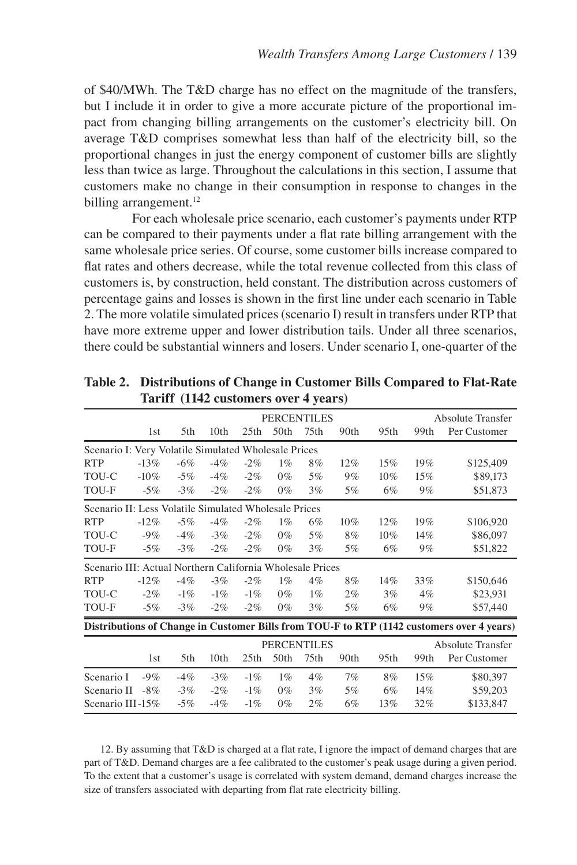of \$40/MWh. The T&D charge has no effect on the magnitude of the transfers, but I include it in order to give a more accurate picture of the proportional impact from changing billing arrangements on the customer's electricity bill. On average T&D comprises somewhat less than half of the electricity bill, so the proportional changes in just the energy component of customer bills are slightly less than twice as large. Throughout the calculations in this section, I assume that customers make no change in their consumption in response to changes in the billing arrangement.<sup>12</sup>

For each wholesale price scenario, each customer's payments under RTP can be compared to their payments under a flat rate billing arrangement with the same wholesale price series. Of course, some customer bills increase compared to flat rates and others decrease, while the total revenue collected from this class of customers is, by construction, held constant. The distribution across customers of percentage gains and losses is shown in the first line under each scenario in Table 2. The more volatile simulated prices (scenario I) result in transfers under RTP that have more extreme upper and lower distribution tails. Under all three scenarios, there could be substantial winners and losers. Under scenario I, one-quarter of the

|                                                                                           | <b>PERCENTILES</b> |        |                  |        |                  |       |        |                          | <b>Absolute Transfer</b> |              |  |
|-------------------------------------------------------------------------------------------|--------------------|--------|------------------|--------|------------------|-------|--------|--------------------------|--------------------------|--------------|--|
|                                                                                           | 1st                | 5th    | 10 <sub>th</sub> | 25th   | 50 <sub>th</sub> | 75th  | 90th   | 95 <sub>th</sub>         | 99th                     | Per Customer |  |
| Scenario I: Very Volatile Simulated Wholesale Prices                                      |                    |        |                  |        |                  |       |        |                          |                          |              |  |
| <b>RTP</b>                                                                                | $-13%$             | $-6%$  | $-4%$            | $-2%$  | $1\%$            | 8%    | $12\%$ | 15%                      | 19%                      | \$125,409    |  |
| TOU-C                                                                                     | $-10\%$            | $-5\%$ | $-4%$            | $-2%$  | $0\%$            | 5%    | 9%     | $10\%$                   | 15%                      | \$89,173     |  |
| TOU-F                                                                                     | $-5%$              | $-3\%$ | $-2\%$           | $-2\%$ | $0\%$            | 3%    | 5%     | 6%                       | 9%                       | \$51,873     |  |
| Scenario II: Less Volatile Simulated Wholesale Prices                                     |                    |        |                  |        |                  |       |        |                          |                          |              |  |
| <b>RTP</b>                                                                                | $-12%$             | $-5%$  | $-4%$            | $-2\%$ | $1\%$            | 6%    | $10\%$ | 12%                      | 19%                      | \$106,920    |  |
| TOU-C                                                                                     | $-9%$              | $-4%$  | $-3\%$           | $-2%$  | $0\%$            | 5%    | 8%     | 10%                      | 14%                      | \$86,097     |  |
| TOU-F                                                                                     | $-5\%$             | $-3\%$ | $-2\%$           | $-2\%$ | $0\%$            | 3%    | 5%     | 6%                       | 9%                       | \$51,822     |  |
| Scenario III: Actual Northern California Wholesale Prices                                 |                    |        |                  |        |                  |       |        |                          |                          |              |  |
| <b>RTP</b>                                                                                | $-12%$             | $-4%$  | $-3%$            | $-2\%$ | $1\%$            | 4%    | 8%     | 14%                      | 33%                      | \$150,646    |  |
| TOU-C                                                                                     | $-2\%$             | $-1\%$ | $-1\%$           | $-1%$  | $0\%$            | $1\%$ | $2\%$  | 3%                       | $4\%$                    | \$23,931     |  |
| TOU-F                                                                                     | $-5%$              | $-3\%$ | $-2\%$           | $-2\%$ | $0\%$            | 3%    | 5%     | 6%                       | 9%                       | \$57,440     |  |
| Distributions of Change in Customer Bills from TOU-F to RTP (1142 customers over 4 years) |                    |        |                  |        |                  |       |        |                          |                          |              |  |
| <b>PERCENTILES</b>                                                                        |                    |        |                  |        |                  |       |        | <b>Absolute Transfer</b> |                          |              |  |
|                                                                                           | 1st                | 5th    | 10 <sub>th</sub> | 25th   | 50th             | 75th  | 90th   | 95th                     | 99th                     | Per Customer |  |
| Scenario I                                                                                | $-9%$              | $-4%$  | $-3%$            | $-1\%$ | $1\%$            | 4%    | 7%     | 8%                       | 15%                      | \$80,397     |  |
| Scenario II                                                                               | $-8\%$             | $-3\%$ | $-2\%$           | $-1\%$ | $0\%$            | 3%    | 5%     | 6%                       | 14%                      | \$59,203     |  |
| Scenario III-15%                                                                          |                    | $-5\%$ | $-4\%$           | $-1\%$ | $0\%$            | 2%    | 6%     | 13%                      | 32%                      | \$133,847    |  |

**Table 2. Distributions of Change in Customer Bills Compared to Flat-Rate Tariff (1142 customers over 4 years)**

12. By assuming that T&D is charged at a flat rate, I ignore the impact of demand charges that are part of T&D. Demand charges are a fee calibrated to the customer's peak usage during a given period. To the extent that a customer's usage is correlated with system demand, demand charges increase the size of transfers associated with departing from flat rate electricity billing.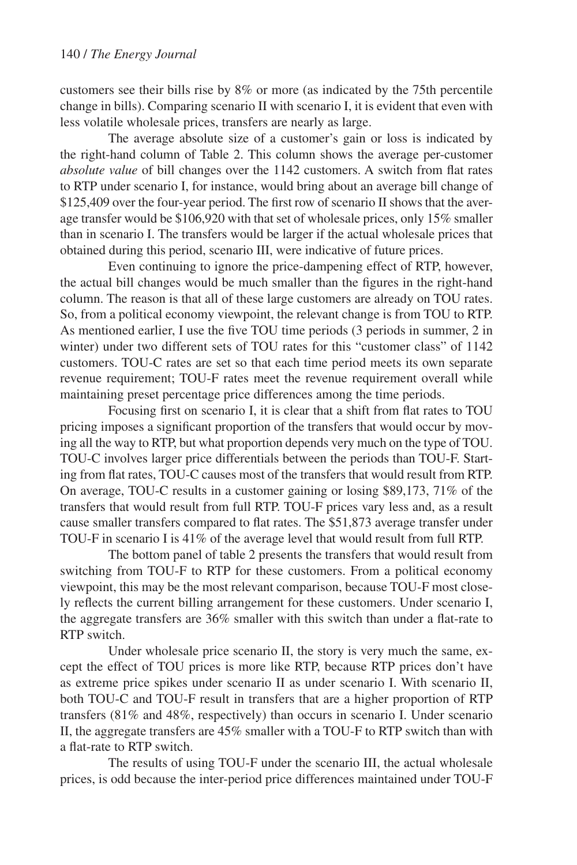customers see their bills rise by 8% or more (as indicated by the 75th percentile change in bills). Comparing scenario II with scenario I, it is evident that even with less volatile wholesale prices, transfers are nearly as large.

The average absolute size of a customer's gain or loss is indicated by the right-hand column of Table 2. This column shows the average per-customer *absolute value* of bill changes over the 1142 customers. A switch from flat rates to RTP under scenario I, for instance, would bring about an average bill change of \$125,409 over the four-year period. The first row of scenario II shows that the average transfer would be \$106,920 with that set of wholesale prices, only 15% smaller than in scenario I. The transfers would be larger if the actual wholesale prices that obtained during this period, scenario III, were indicative of future prices.

Even continuing to ignore the price-dampening effect of RTP, however, the actual bill changes would be much smaller than the figures in the right-hand column. The reason is that all of these large customers are already on TOU rates. So, from a political economy viewpoint, the relevant change is from TOU to RTP. As mentioned earlier, I use the five TOU time periods (3 periods in summer, 2 in winter) under two different sets of TOU rates for this "customer class" of 1142 customers. TOU-C rates are set so that each time period meets its own separate revenue requirement; TOU-F rates meet the revenue requirement overall while maintaining preset percentage price differences among the time periods.

Focusing first on scenario I, it is clear that a shift from flat rates to TOU pricing imposes a significant proportion of the transfers that would occur by moving all the way to RTP, but what proportion depends very much on the type of TOU. TOU-C involves larger price differentials between the periods than TOU-F. Starting from flat rates, TOU-C causes most of the transfers that would result from RTP. On average, TOU-C results in a customer gaining or losing \$89,173, 71% of the transfers that would result from full RTP. TOU-F prices vary less and, as a result cause smaller transfers compared to flat rates. The \$51,873 average transfer under TOU-F in scenario I is 41% of the average level that would result from full RTP.

The bottom panel of table 2 presents the transfers that would result from switching from TOU-F to RTP for these customers. From a political economy viewpoint, this may be the most relevant comparison, because TOU-F most closely reflects the current billing arrangement for these customers. Under scenario I, the aggregate transfers are 36% smaller with this switch than under a flat-rate to RTP switch.

Under wholesale price scenario II, the story is very much the same, except the effect of TOU prices is more like RTP, because RTP prices don't have as extreme price spikes under scenario II as under scenario I. With scenario II, both TOU-C and TOU-F result in transfers that are a higher proportion of RTP transfers (81% and 48%, respectively) than occurs in scenario I. Under scenario II, the aggregate transfers are 45% smaller with a TOU-F to RTP switch than with a flat-rate to RTP switch.

The results of using TOU-F under the scenario III, the actual wholesale prices, is odd because the inter-period price differences maintained under TOU-F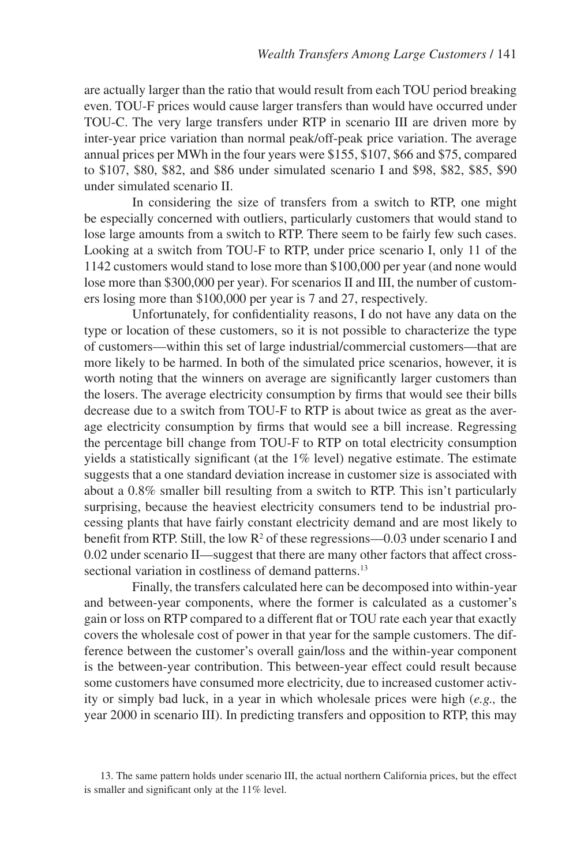are actually larger than the ratio that would result from each TOU period breaking even. TOU-F prices would cause larger transfers than would have occurred under TOU-C. The very large transfers under RTP in scenario III are driven more by inter-year price variation than normal peak/off-peak price variation. The average annual prices per MWh in the four years were \$155, \$107, \$66 and \$75, compared to \$107, \$80, \$82, and \$86 under simulated scenario I and \$98, \$82, \$85, \$90 under simulated scenario II.

In considering the size of transfers from a switch to RTP, one might be especially concerned with outliers, particularly customers that would stand to lose large amounts from a switch to RTP. There seem to be fairly few such cases. Looking at a switch from TOU-F to RTP, under price scenario I, only 11 of the 1142 customers would stand to lose more than \$100,000 per year (and none would lose more than \$300,000 per year). For scenarios II and III, the number of customers losing more than \$100,000 per year is 7 and 27, respectively.

Unfortunately, for confidentiality reasons, I do not have any data on the type or location of these customers, so it is not possible to characterize the type of customers—within this set of large industrial/commercial customers—that are more likely to be harmed. In both of the simulated price scenarios, however, it is worth noting that the winners on average are significantly larger customers than the losers. The average electricity consumption by firms that would see their bills decrease due to a switch from TOU-F to RTP is about twice as great as the average electricity consumption by firms that would see a bill increase. Regressing the percentage bill change from TOU-F to RTP on total electricity consumption yields a statistically significant (at the 1% level) negative estimate. The estimate suggests that a one standard deviation increase in customer size is associated with about a 0.8% smaller bill resulting from a switch to RTP. This isn't particularly surprising, because the heaviest electricity consumers tend to be industrial processing plants that have fairly constant electricity demand and are most likely to benefit from RTP. Still, the low  $R^2$  of these regressions—0.03 under scenario I and 0.02 under scenario II—suggest that there are many other factors that affect crosssectional variation in costliness of demand patterns.<sup>13</sup>

Finally, the transfers calculated here can be decomposed into within-year and between-year components, where the former is calculated as a customer's gain or loss on RTP compared to a different flat or TOU rate each year that exactly covers the wholesale cost of power in that year for the sample customers. The difference between the customer's overall gain/loss and the within-year component is the between-year contribution. This between-year effect could result because some customers have consumed more electricity, due to increased customer activity or simply bad luck, in a year in which wholesale prices were high (*e.g.,* the year 2000 in scenario III). In predicting transfers and opposition to RTP, this may

<sup>13.</sup> The same pattern holds under scenario III, the actual northern California prices, but the effect is smaller and significant only at the 11% level.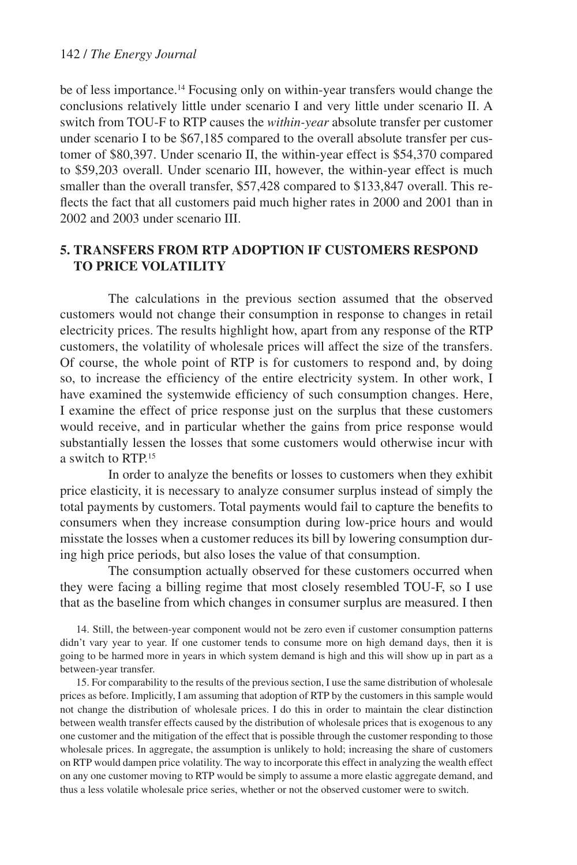#### 142 / *The Energy Journal*

be of less importance.14 Focusing only on within-year transfers would change the conclusions relatively little under scenario I and very little under scenario II. A switch from TOU-F to RTP causes the *within-year* absolute transfer per customer under scenario I to be \$67,185 compared to the overall absolute transfer per customer of \$80,397. Under scenario II, the within-year effect is \$54,370 compared to \$59,203 overall. Under scenario III, however, the within-year effect is much smaller than the overall transfer, \$57,428 compared to \$133,847 overall. This reflects the fact that all customers paid much higher rates in 2000 and 2001 than in 2002 and 2003 under scenario III.

### **5. Transfers from RTP Adoption if Customers Respond to Price Volatility**

The calculations in the previous section assumed that the observed customers would not change their consumption in response to changes in retail electricity prices. The results highlight how, apart from any response of the RTP customers, the volatility of wholesale prices will affect the size of the transfers. Of course, the whole point of RTP is for customers to respond and, by doing so, to increase the efficiency of the entire electricity system. In other work, I have examined the systemwide efficiency of such consumption changes. Here, I examine the effect of price response just on the surplus that these customers would receive, and in particular whether the gains from price response would substantially lessen the losses that some customers would otherwise incur with a switch to RTP.15

In order to analyze the benefits or losses to customers when they exhibit price elasticity, it is necessary to analyze consumer surplus instead of simply the total payments by customers. Total payments would fail to capture the benefits to consumers when they increase consumption during low-price hours and would misstate the losses when a customer reduces its bill by lowering consumption during high price periods, but also loses the value of that consumption.

The consumption actually observed for these customers occurred when they were facing a billing regime that most closely resembled TOU-F, so I use that as the baseline from which changes in consumer surplus are measured. I then

14. Still, the between-year component would not be zero even if customer consumption patterns didn't vary year to year. If one customer tends to consume more on high demand days, then it is going to be harmed more in years in which system demand is high and this will show up in part as a between-year transfer.

15. For comparability to the results of the previous section, I use the same distribution of wholesale prices as before. Implicitly, I am assuming that adoption of RTP by the customers in this sample would not change the distribution of wholesale prices. I do this in order to maintain the clear distinction between wealth transfer effects caused by the distribution of wholesale prices that is exogenous to any one customer and the mitigation of the effect that is possible through the customer responding to those wholesale prices. In aggregate, the assumption is unlikely to hold; increasing the share of customers on RTP would dampen price volatility. The way to incorporate this effect in analyzing the wealth effect on any one customer moving to RTP would be simply to assume a more elastic aggregate demand, and thus a less volatile wholesale price series, whether or not the observed customer were to switch.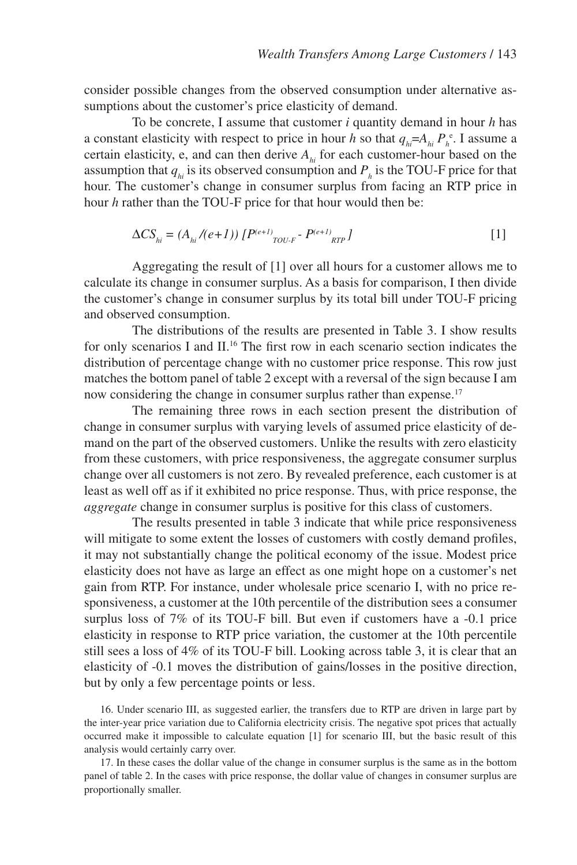consider possible changes from the observed consumption under alternative assumptions about the customer's price elasticity of demand.

To be concrete, I assume that customer *i* quantity demand in hour *h* has a constant elasticity with respect to price in hour *h* so that  $q_{hi} = A_{hi} P_h^e$ . I assume a certain elasticity, e, and can then derive  $A_{hi}$  for each customer-hour based on the assumption that  $q_{hi}$  is its observed consumption and  $P_h$  is the TOU-F price for that hour. The customer's change in consumer surplus from facing an RTP price in hour *h* rather than the TOU-F price for that hour would then be:

$$
\Delta CS_{hi} = (A_{hi}/(e+1)) [P^{(e+1)}_{TOU-F} - P^{(e+1)}_{RTP}]
$$
 [1]

Aggregating the result of [1] over all hours for a customer allows me to calculate its change in consumer surplus. As a basis for comparison, I then divide the customer's change in consumer surplus by its total bill under TOU-F pricing and observed consumption.

The distributions of the results are presented in Table 3. I show results for only scenarios I and II.16 The first row in each scenario section indicates the distribution of percentage change with no customer price response. This row just matches the bottom panel of table 2 except with a reversal of the sign because I am now considering the change in consumer surplus rather than expense.<sup>17</sup>

The remaining three rows in each section present the distribution of change in consumer surplus with varying levels of assumed price elasticity of demand on the part of the observed customers. Unlike the results with zero elasticity from these customers, with price responsiveness, the aggregate consumer surplus change over all customers is not zero. By revealed preference, each customer is at least as well off as if it exhibited no price response. Thus, with price response, the *aggregate* change in consumer surplus is positive for this class of customers.

The results presented in table 3 indicate that while price responsiveness will mitigate to some extent the losses of customers with costly demand profiles, it may not substantially change the political economy of the issue. Modest price elasticity does not have as large an effect as one might hope on a customer's net gain from RTP. For instance, under wholesale price scenario I, with no price responsiveness, a customer at the 10th percentile of the distribution sees a consumer surplus loss of 7% of its TOU-F bill. But even if customers have a -0.1 price elasticity in response to RTP price variation, the customer at the 10th percentile still sees a loss of 4% of its TOU-F bill. Looking across table 3, it is clear that an elasticity of -0.1 moves the distribution of gains/losses in the positive direction, but by only a few percentage points or less.

16. Under scenario III, as suggested earlier, the transfers due to RTP are driven in large part by the inter-year price variation due to California electricity crisis. The negative spot prices that actually occurred make it impossible to calculate equation [1] for scenario III, but the basic result of this analysis would certainly carry over.

17. In these cases the dollar value of the change in consumer surplus is the same as in the bottom panel of table 2. In the cases with price response, the dollar value of changes in consumer surplus are proportionally smaller.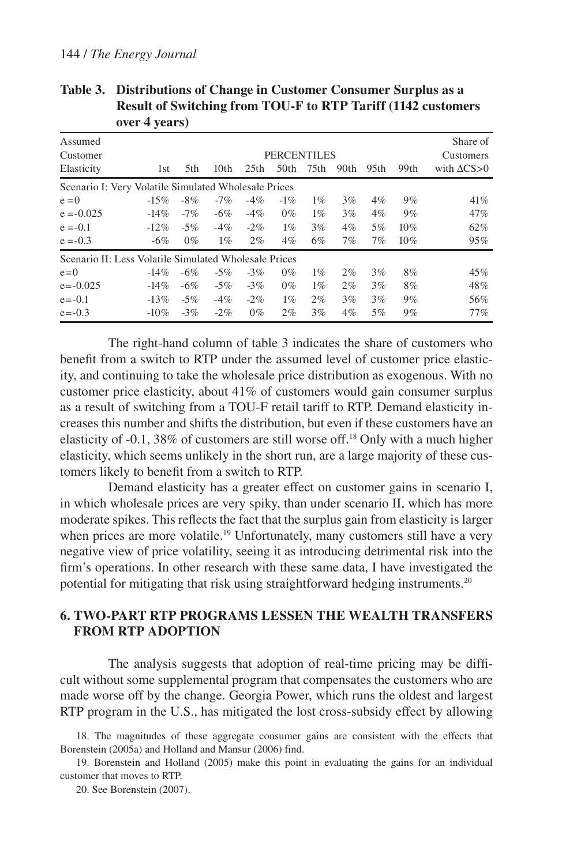|                                                       | $0.0111$ $0.00107$ |        |                  |                  |                                        |       |       |                  |      |                                                 |
|-------------------------------------------------------|--------------------|--------|------------------|------------------|----------------------------------------|-------|-------|------------------|------|-------------------------------------------------|
| Assumed<br>Customer<br>Elasticity                     | 1st                | 5th    | 10 <sub>th</sub> | 25 <sub>th</sub> | <b>PERCENTILES</b><br>50 <sub>th</sub> | 75th  | 90th  | 95 <sub>th</sub> | 99th | Share of<br>Customers<br>with $\Delta$ CS $>$ 0 |
|                                                       |                    |        |                  |                  |                                        |       |       |                  |      |                                                 |
| Scenario I: Very Volatile Simulated Wholesale Prices  |                    |        |                  |                  |                                        |       |       |                  |      |                                                 |
| $e = 0$                                               | $-15%$             | $-8\%$ | $-7%$            | $-4\%$           | $-1\%$                                 | $1\%$ | 3%    | $4\%$            | 9%   | 41%                                             |
| $e = -0.025$                                          | $-14\%$            | $-7%$  | $-6\%$           | $-4%$            | $0\%$                                  | $1\%$ | 3%    | $4\%$            | 9%   | 47%                                             |
| $e = -0.1$                                            | $-12\%$            | $-5%$  | $-4%$            | $-2\%$           | $1\%$                                  | 3%    | $4\%$ | 5%               | 10%  | $62\%$                                          |
| $e = -0.3$                                            | $-6%$              | $0\%$  | $1\%$            | $2\%$            | $4\%$                                  | 6%    | 7%    | 7%               | 10%  | 95%                                             |
| Scenario II: Less Volatile Simulated Wholesale Prices |                    |        |                  |                  |                                        |       |       |                  |      |                                                 |
| $e=0$                                                 | $-14\%$            | $-6%$  | $-5%$            | $-3%$            | $0\%$                                  | $1\%$ | 2%    | 3%               | 8%   | 45%                                             |
| $e = -0.025$                                          | $-14\%$            | $-6\%$ | $-5\%$           | $-3\%$           | $0\%$                                  | $1\%$ | 2%    | 3%               | 8%   | 48%                                             |
| $e = -0.1$                                            | $-13%$             | $-5\%$ | $-4%$            | $-2\%$           | $1\%$                                  | 2%    | 3%    | 3%               | 9%   | 56%                                             |
| $e = -0.3$                                            | $-10\%$            | $-3%$  | $-2\%$           | $0\%$            | 2%                                     | 3%    | $4\%$ | 5%               | 9%   | 77%                                             |

**Table 3. Distributions of Change in Customer Consumer Surplus as a Result of Switching from TOU-F to RTP Tariff (1142 customers over 4 years)**

The right-hand column of table 3 indicates the share of customers who benefit from a switch to RTP under the assumed level of customer price elasticity, and continuing to take the wholesale price distribution as exogenous. With no customer price elasticity, about 41% of customers would gain consumer surplus as a result of switching from a TOU-F retail tariff to RTP. Demand elasticity increases this number and shifts the distribution, but even if these customers have an elasticity of -0.1, 38% of customers are still worse off.18 Only with a much higher elasticity, which seems unlikely in the short run, are a large majority of these customers likely to benefit from a switch to RTP.

Demand elasticity has a greater effect on customer gains in scenario I, in which wholesale prices are very spiky, than under scenario II, which has more moderate spikes. This reflects the fact that the surplus gain from elasticity is larger when prices are more volatile.<sup>19</sup> Unfortunately, many customers still have a very negative view of price volatility, seeing it as introducing detrimental risk into the firm's operations. In other research with these same data, I have investigated the potential for mitigating that risk using straightforward hedging instruments.20

## **6. Two-Part RTP Programs Lessen the Wealth Transfers from RTP Adoption**

The analysis suggests that adoption of real-time pricing may be difficult without some supplemental program that compensates the customers who are made worse off by the change. Georgia Power, which runs the oldest and largest RTP program in the U.S., has mitigated the lost cross-subsidy effect by allowing

19. Borenstein and Holland (2005) make this point in evaluating the gains for an individual customer that moves to RTP.

20. See Borenstein (2007).

<sup>18.</sup> The magnitudes of these aggregate consumer gains are consistent with the effects that Borenstein (2005a) and Holland and Mansur (2006) find.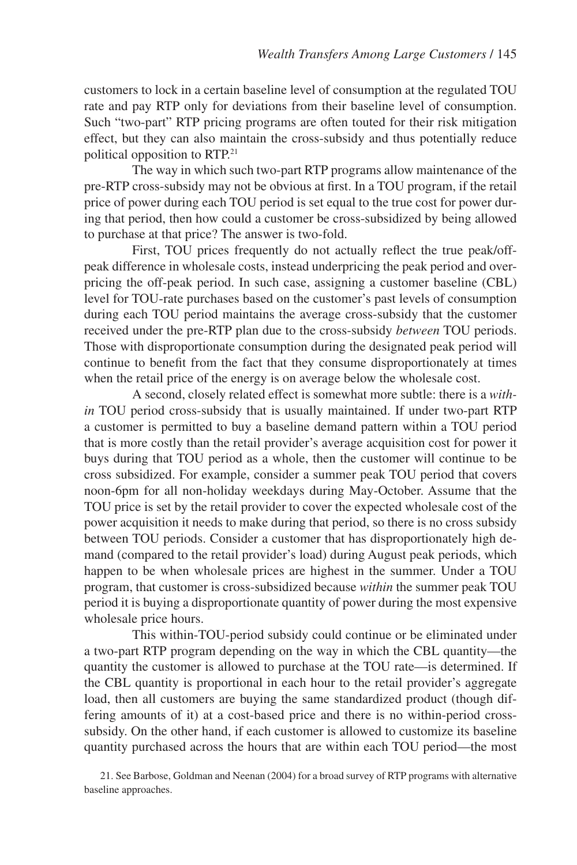customers to lock in a certain baseline level of consumption at the regulated TOU rate and pay RTP only for deviations from their baseline level of consumption. Such "two-part" RTP pricing programs are often touted for their risk mitigation effect, but they can also maintain the cross-subsidy and thus potentially reduce political opposition to RTP.21

The way in which such two-part RTP programs allow maintenance of the pre-RTP cross-subsidy may not be obvious at first. In a TOU program, if the retail price of power during each TOU period is set equal to the true cost for power during that period, then how could a customer be cross-subsidized by being allowed to purchase at that price? The answer is two-fold.

First, TOU prices frequently do not actually reflect the true peak/offpeak difference in wholesale costs, instead underpricing the peak period and overpricing the off-peak period. In such case, assigning a customer baseline (CBL) level for TOU-rate purchases based on the customer's past levels of consumption during each TOU period maintains the average cross-subsidy that the customer received under the pre-RTP plan due to the cross-subsidy *between* TOU periods. Those with disproportionate consumption during the designated peak period will continue to benefit from the fact that they consume disproportionately at times when the retail price of the energy is on average below the wholesale cost.

A second, closely related effect is somewhat more subtle: there is a *within* TOU period cross-subsidy that is usually maintained. If under two-part RTP a customer is permitted to buy a baseline demand pattern within a TOU period that is more costly than the retail provider's average acquisition cost for power it buys during that TOU period as a whole, then the customer will continue to be cross subsidized. For example, consider a summer peak TOU period that covers noon-6pm for all non-holiday weekdays during May-October. Assume that the TOU price is set by the retail provider to cover the expected wholesale cost of the power acquisition it needs to make during that period, so there is no cross subsidy between TOU periods. Consider a customer that has disproportionately high demand (compared to the retail provider's load) during August peak periods, which happen to be when wholesale prices are highest in the summer. Under a TOU program, that customer is cross-subsidized because *within* the summer peak TOU period it is buying a disproportionate quantity of power during the most expensive wholesale price hours.

This within-TOU-period subsidy could continue or be eliminated under a two-part RTP program depending on the way in which the CBL quantity—the quantity the customer is allowed to purchase at the TOU rate—is determined. If the CBL quantity is proportional in each hour to the retail provider's aggregate load, then all customers are buying the same standardized product (though differing amounts of it) at a cost-based price and there is no within-period crosssubsidy. On the other hand, if each customer is allowed to customize its baseline quantity purchased across the hours that are within each TOU period—the most

21. See Barbose, Goldman and Neenan (2004) for a broad survey of RTP programs with alternative baseline approaches.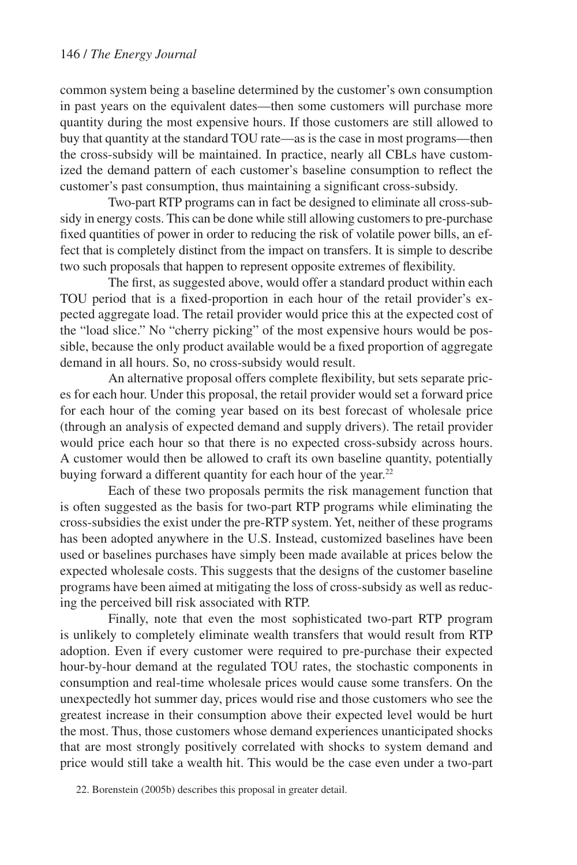common system being a baseline determined by the customer's own consumption in past years on the equivalent dates—then some customers will purchase more quantity during the most expensive hours. If those customers are still allowed to buy that quantity at the standard TOU rate—as is the case in most programs—then the cross-subsidy will be maintained. In practice, nearly all CBLs have customized the demand pattern of each customer's baseline consumption to reflect the customer's past consumption, thus maintaining a significant cross-subsidy.

Two-part RTP programs can in fact be designed to eliminate all cross-subsidy in energy costs. This can be done while still allowing customers to pre-purchase fixed quantities of power in order to reducing the risk of volatile power bills, an effect that is completely distinct from the impact on transfers. It is simple to describe two such proposals that happen to represent opposite extremes of flexibility.

The first, as suggested above, would offer a standard product within each TOU period that is a fixed-proportion in each hour of the retail provider's expected aggregate load. The retail provider would price this at the expected cost of the "load slice." No "cherry picking" of the most expensive hours would be possible, because the only product available would be a fixed proportion of aggregate demand in all hours. So, no cross-subsidy would result.

An alternative proposal offers complete flexibility, but sets separate prices for each hour. Under this proposal, the retail provider would set a forward price for each hour of the coming year based on its best forecast of wholesale price (through an analysis of expected demand and supply drivers). The retail provider would price each hour so that there is no expected cross-subsidy across hours. A customer would then be allowed to craft its own baseline quantity, potentially buying forward a different quantity for each hour of the year. $22$ 

Each of these two proposals permits the risk management function that is often suggested as the basis for two-part RTP programs while eliminating the cross-subsidies the exist under the pre-RTP system. Yet, neither of these programs has been adopted anywhere in the U.S. Instead, customized baselines have been used or baselines purchases have simply been made available at prices below the expected wholesale costs. This suggests that the designs of the customer baseline programs have been aimed at mitigating the loss of cross-subsidy as well as reducing the perceived bill risk associated with RTP.

Finally, note that even the most sophisticated two-part RTP program is unlikely to completely eliminate wealth transfers that would result from RTP adoption. Even if every customer were required to pre-purchase their expected hour-by-hour demand at the regulated TOU rates, the stochastic components in consumption and real-time wholesale prices would cause some transfers. On the unexpectedly hot summer day, prices would rise and those customers who see the greatest increase in their consumption above their expected level would be hurt the most. Thus, those customers whose demand experiences unanticipated shocks that are most strongly positively correlated with shocks to system demand and price would still take a wealth hit. This would be the case even under a two-part

<sup>22.</sup> Borenstein (2005b) describes this proposal in greater detail.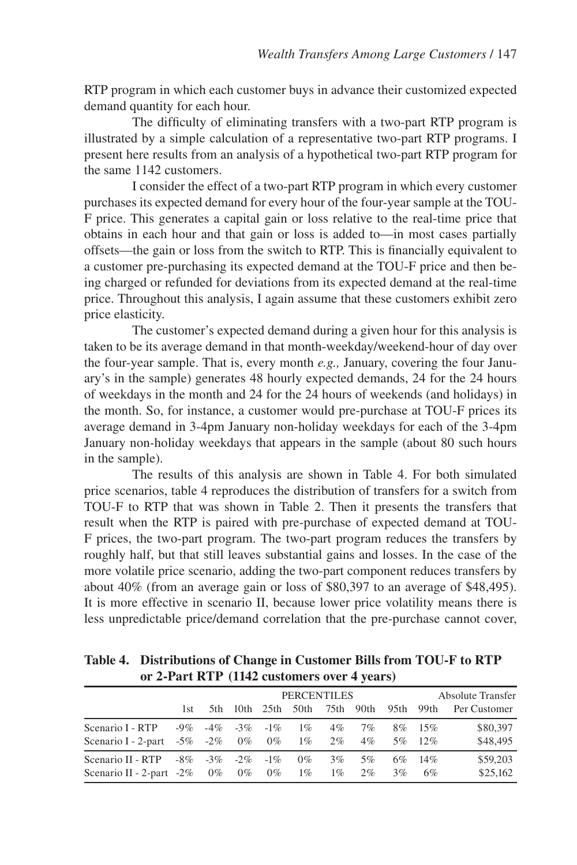RTP program in which each customer buys in advance their customized expected demand quantity for each hour.

The difficulty of eliminating transfers with a two-part RTP program is illustrated by a simple calculation of a representative two-part RTP programs. I present here results from an analysis of a hypothetical two-part RTP program for the same 1142 customers.

I consider the effect of a two-part RTP program in which every customer purchases its expected demand for every hour of the four-year sample at the TOU-F price. This generates a capital gain or loss relative to the real-time price that obtains in each hour and that gain or loss is added to—in most cases partially offsets—the gain or loss from the switch to RTP. This is financially equivalent to a customer pre-purchasing its expected demand at the TOU-F price and then being charged or refunded for deviations from its expected demand at the real-time price. Throughout this analysis, I again assume that these customers exhibit zero price elasticity.

The customer's expected demand during a given hour for this analysis is taken to be its average demand in that month-weekday/weekend-hour of day over the four-year sample. That is, every month *e.g.,* January, covering the four January's in the sample) generates 48 hourly expected demands, 24 for the 24 hours of weekdays in the month and 24 for the 24 hours of weekends (and holidays) in the month. So, for instance, a customer would pre-purchase at TOU-F prices its average demand in 3-4pm January non-holiday weekdays for each of the 3-4pm January non-holiday weekdays that appears in the sample (about 80 such hours in the sample).

The results of this analysis are shown in Table 4. For both simulated price scenarios, table 4 reproduces the distribution of transfers for a switch from TOU-F to RTP that was shown in Table 2. Then it presents the transfers that result when the RTP is paired with pre-purchase of expected demand at TOU-F prices, the two-part program. The two-part program reduces the transfers by roughly half, but that still leaves substantial gains and losses. In the case of the more volatile price scenario, adding the two-part component reduces transfers by about 40% (from an average gain or loss of \$80,397 to an average of \$48,495). It is more effective in scenario II, because lower price volatility means there is less unpredictable price/demand correlation that the pre-purchase cannot cover,

**Table 4. Distributions of Change in Customer Bills from TOU-F to RTP or 2-Part RTP (1142 customers over 4 years)**

|                                                                                              |      | <b>PERCENTILES</b> |  |  |                                   |                |             |       |                      | <b>Absolute Transfer</b>                           |  |  |
|----------------------------------------------------------------------------------------------|------|--------------------|--|--|-----------------------------------|----------------|-------------|-------|----------------------|----------------------------------------------------|--|--|
|                                                                                              | 1st. |                    |  |  |                                   |                |             |       |                      | 5th 10th 25th 50th 75th 90th 95th 99th PerCustomer |  |  |
| Scenario I - RTP<br>Scenario I - 2-part -5% -2% 0% 0% 1% 2% 4%                               |      |                    |  |  | $-9\%$ $-4\%$ $-3\%$ $-1\%$ $1\%$ | $4\%$          | 7%          |       | 8\% 15\%<br>5\% 12\% | \$80,397<br>\$48,495                               |  |  |
| Scenario II - RTP - $8\%$ - $3\%$ - $2\%$ - $1\%$<br>Scenario II - 2-part -2% $0\%$ 0% 0% 1% |      |                    |  |  | $0\%$                             | $3\%$<br>$1\%$ | 5%<br>$2\%$ | $3\%$ | 6\% 14\%<br>6%       | \$59,203<br>\$25,162                               |  |  |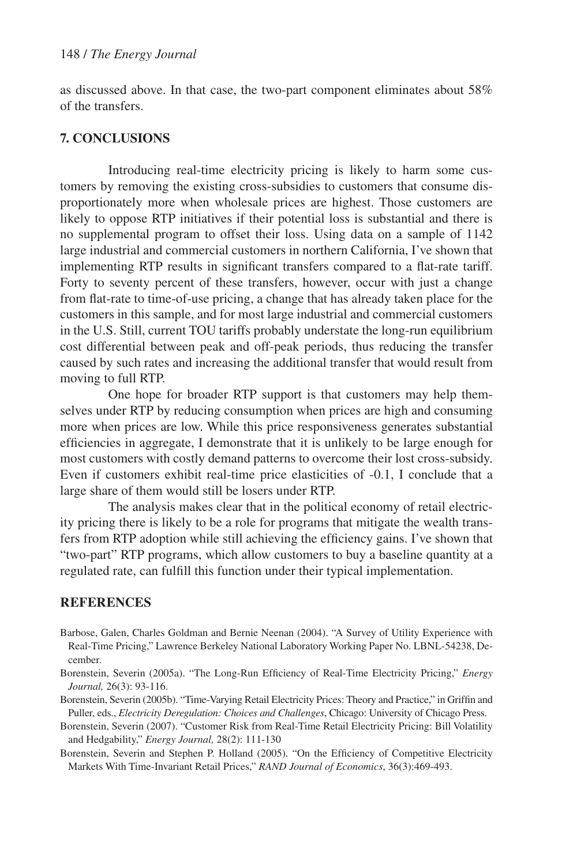as discussed above. In that case, the two-part component eliminates about 58% of the transfers.

### **7. Conclusions**

Introducing real-time electricity pricing is likely to harm some customers by removing the existing cross-subsidies to customers that consume disproportionately more when wholesale prices are highest. Those customers are likely to oppose RTP initiatives if their potential loss is substantial and there is no supplemental program to offset their loss. Using data on a sample of 1142 large industrial and commercial customers in northern California, I've shown that implementing RTP results in significant transfers compared to a flat-rate tariff. Forty to seventy percent of these transfers, however, occur with just a change from flat-rate to time-of-use pricing, a change that has already taken place for the customers in this sample, and for most large industrial and commercial customers in the U.S. Still, current TOU tariffs probably understate the long-run equilibrium cost differential between peak and off-peak periods, thus reducing the transfer caused by such rates and increasing the additional transfer that would result from moving to full RTP.

One hope for broader RTP support is that customers may help themselves under RTP by reducing consumption when prices are high and consuming more when prices are low. While this price responsiveness generates substantial efficiencies in aggregate, I demonstrate that it is unlikely to be large enough for most customers with costly demand patterns to overcome their lost cross-subsidy. Even if customers exhibit real-time price elasticities of -0.1, I conclude that a large share of them would still be losers under RTP.

The analysis makes clear that in the political economy of retail electricity pricing there is likely to be a role for programs that mitigate the wealth transfers from RTP adoption while still achieving the efficiency gains. I've shown that "two-part" RTP programs, which allow customers to buy a baseline quantity at a regulated rate, can fulfill this function under their typical implementation.

#### **REFERENCES**

- Barbose, Galen, Charles Goldman and Bernie Neenan (2004). "A Survey of Utility Experience with Real-Time Pricing," Lawrence Berkeley National Laboratory Working Paper No. LBNL-54238, December.
- Borenstein, Severin (2005a). "The Long-Run Efficiency of Real-Time Electricity Pricing," *Energy Journal,* 26(3): 93-116.
- Borenstein, Severin (2005b). "Time-Varying Retail Electricity Prices: Theory and Practice," in Griffin and Puller, eds., *Electricity Deregulation: Choices and Challenges*, Chicago: University of Chicago Press.
- Borenstein, Severin (2007). "Customer Risk from Real-Time Retail Electricity Pricing: Bill Volatility and Hedgability," *Energy Journal,* 28(2): 111-130
- Borenstein, Severin and Stephen P. Holland (2005). "On the Efficiency of Competitive Electricity Markets With Time-Invariant Retail Prices," *RAND Journal of Economics*, 36(3):469-493.